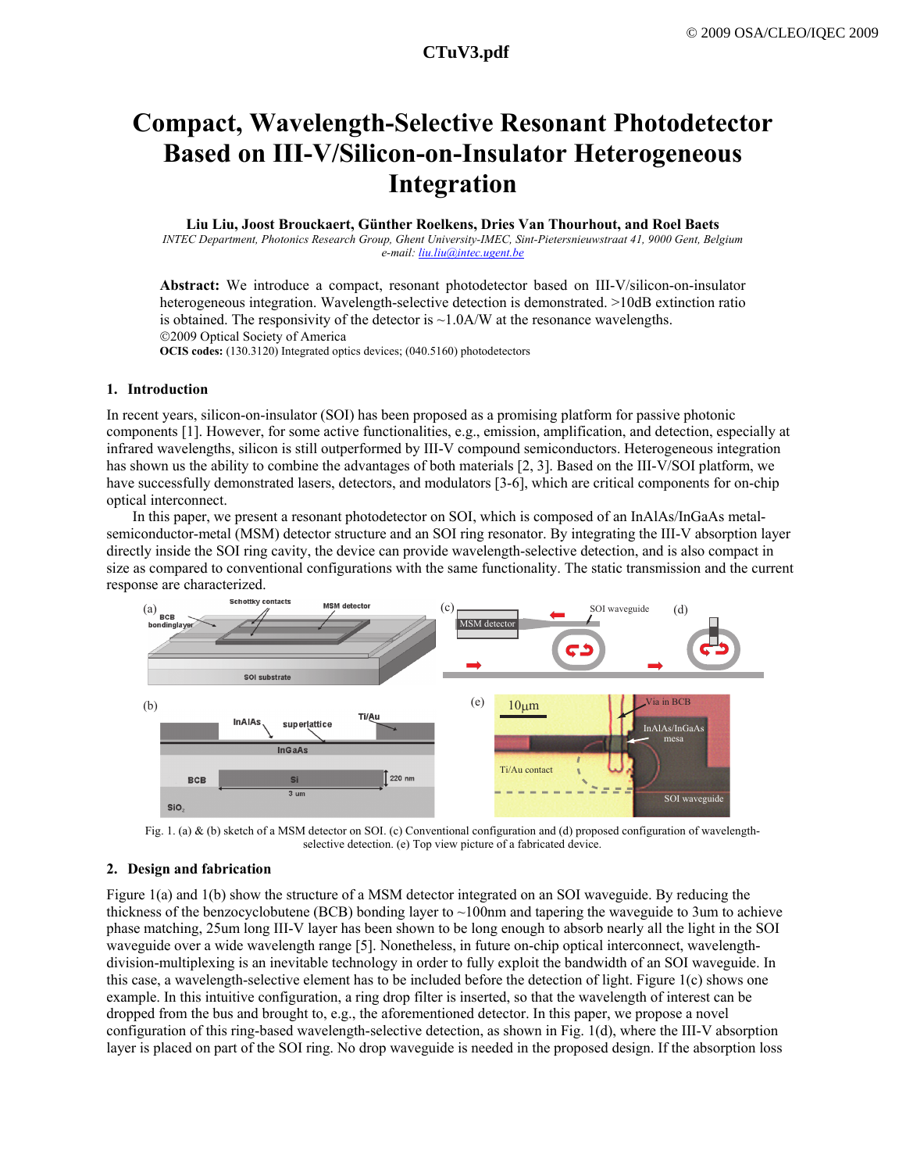# **a1097\_1.pdf CTuV3.pdf CTuV3.pdf**

# **Compact, Wavelength-Selective Resonant Photodetector Based on III-V/Silicon-on-Insulator Heterogeneous Integration**

#### **Liu Liu, Joost Brouckaert, Günther Roelkens, Dries Van Thourhout, and Roel Baets**

*INTEC Department, Photonics Research Group, Ghent University-IMEC, Sint-Pietersnieuwstraat 41, 9000 Gent, Belgium e-mail: liu.liu@intec.ugent.be*

**Abstract:** We introduce a compact, resonant photodetector based on III-V/silicon-on-insulator heterogeneous integration. Wavelength-selective detection is demonstrated. >10dB extinction ratio is obtained. The responsivity of the detector is  $\sim$  1.0A/W at the resonance wavelengths. ©2009 Optical Society of America

**OCIS codes:** (130.3120) Integrated optics devices; (040.5160) photodetectors

#### **1. Introduction**

In recent years, silicon-on-insulator (SOI) has been proposed as a promising platform for passive photonic components [1]. However, for some active functionalities, e.g., emission, amplification, and detection, especially at infrared wavelengths, silicon is still outperformed by III-V compound semiconductors. Heterogeneous integration has shown us the ability to combine the advantages of both materials [2, 3]. Based on the III-V/SOI platform, we have successfully demonstrated lasers, detectors, and modulators [3-6], which are critical components for on-chip optical interconnect.

In this paper, we present a resonant photodetector on SOI, which is composed of an InAlAs/InGaAs metalsemiconductor-metal (MSM) detector structure and an SOI ring resonator. By integrating the III-V absorption layer directly inside the SOI ring cavity, the device can provide wavelength-selective detection, and is also compact in size as compared to conventional configurations with the same functionality. The static transmission and the current response are characterized.



Fig. 1. (a) & (b) sketch of a MSM detector on SOI. (c) Conventional configuration and (d) proposed configuration of wavelengthselective detection. (e) Top view picture of a fabricated device.

## **2. Design and fabrication**

Figure 1(a) and 1(b) show the structure of a MSM detector integrated on an SOI waveguide. By reducing the thickness of the benzocyclobutene (BCB) bonding layer to ~100nm and tapering the waveguide to 3um to achieve phase matching, 25um long III-V layer has been shown to be long enough to absorb nearly all the light in the SOI waveguide over a wide wavelength range [5]. Nonetheless, in future on-chip optical interconnect, wavelengthdivision-multiplexing is an inevitable technology in order to fully exploit the bandwidth of an SOI waveguide. In this case, a wavelength-selective element has to be included before the detection of light. Figure 1(c) shows one example. In this intuitive configuration, a ring drop filter is inserted, so that the wavelength of interest can be dropped from the bus and brought to, e.g., the aforementioned detector. In this paper, we propose a novel configuration of this ring-based wavelength-selective detection, as shown in Fig. 1(d), where the III-V absorption layer is placed on part of the SOI ring. No drop waveguide is needed in the proposed design. If the absorption loss